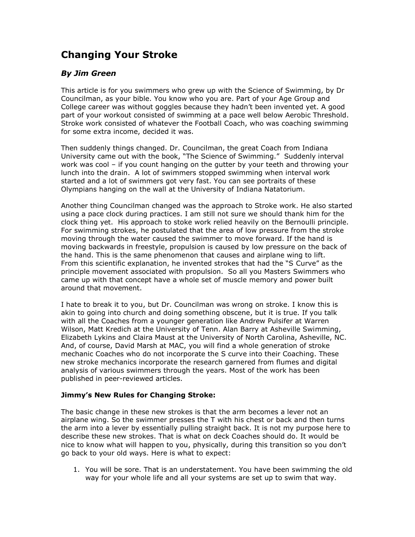## **Changing Your Stroke**

## *By Jim Green*

This article is for you swimmers who grew up with the Science of Swimming, by Dr Councilman, as your bible. You know who you are. Part of your Age Group and College career was without goggles because they hadn't been invented yet. A good part of your workout consisted of swimming at a pace well below Aerobic Threshold. Stroke work consisted of whatever the Football Coach, who was coaching swimming for some extra income, decided it was.

Then suddenly things changed. Dr. Councilman, the great Coach from Indiana University came out with the book, "The Science of Swimming." Suddenly interval work was cool – if you count hanging on the gutter by your teeth and throwing your lunch into the drain. A lot of swimmers stopped swimming when interval work started and a lot of swimmers got very fast. You can see portraits of these Olympians hanging on the wall at the University of Indiana Natatorium.

Another thing Councilman changed was the approach to Stroke work. He also started using a pace clock during practices. I am still not sure we should thank him for the clock thing yet. His approach to stoke work relied heavily on the Bernoulli principle. For swimming strokes, he postulated that the area of low pressure from the stroke moving through the water caused the swimmer to move forward. If the hand is moving backwards in freestyle, propulsion is caused by low pressure on the back of the hand. This is the same phenomenon that causes and airplane wing to lift. From this scientific explanation, he invented strokes that had the "S Curve" as the principle movement associated with propulsion. So all you Masters Swimmers who came up with that concept have a whole set of muscle memory and power built around that movement.

I hate to break it to you, but Dr. Councilman was wrong on stroke. I know this is akin to going into church and doing something obscene, but it is true. If you talk with all the Coaches from a younger generation like Andrew Pulsifer at Warren Wilson, Matt Kredich at the University of Tenn. Alan Barry at Asheville Swimming, Elizabeth Lykins and Claira Maust at the University of North Carolina, Asheville, NC. And, of course, David Marsh at MAC, you will find a whole generation of stroke mechanic Coaches who do not incorporate the S curve into their Coaching. These new stroke mechanics incorporate the research garnered from flumes and digital analysis of various swimmers through the years. Most of the work has been published in peer-reviewed articles.

## **Jimmy's New Rules for Changing Stroke:**

The basic change in these new strokes is that the arm becomes a lever not an airplane wing. So the swimmer presses the T with his chest or back and then turns the arm into a lever by essentially pulling straight back. It is not my purpose here to describe these new strokes. That is what on deck Coaches should do. It would be nice to know what will happen to you, physically, during this transition so you don't go back to your old ways. Here is what to expect:

1. You will be sore. That is an understatement. You have been swimming the old way for your whole life and all your systems are set up to swim that way.